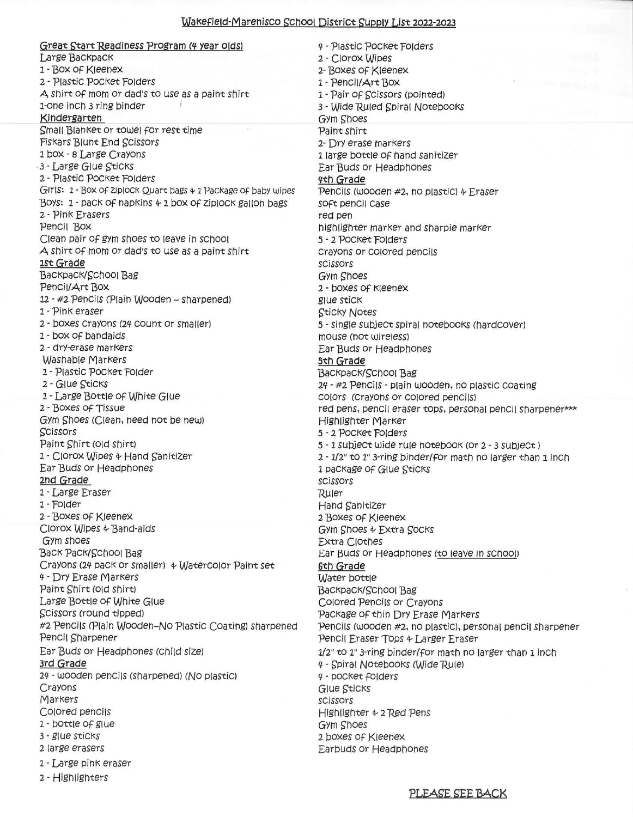Great Start Readiness Program (4 year olds) Large Backpack 1 - Box of Kleenex 2 - Plastic Pocket Folders A shirt of mom or dad's to use as a paint shirt 1-one inch 3 ring binder Kindergarten Small Blanket or towel for rest time **Fiskars Blunt End Scissors** 1 box - 8 Large Crayons 3 - Large Glue Sticks 2 - Plastic Pocket Folders GITIS: 1 - Box of Ziplock Quart bags + 1 Package of baby wipes Boys: 1 - pack of napkins 4 1 box of Ziplock gallon bags 2 - Pink Erasers Pencil Box Clean pair of gym shoes to leave in school A shirt of mom or dad's to use as a paint shirt 1st Grade Backpack/School Bag Pencil/Art Box 12 - #2 Pencils (Plain Wooden - sharpened) 1 - Pink eraser 2 - boxes Crayons (24 Count or smaller) 1 - box of bandaids 2 - dry-erase markers Washable Markers 1 - Plastic Pocket Folder 2 - Glue Sticks 1 - Large Bottle of White Glue 2 - Boxes of Tissue Gym Shoes (Clean, need not be new) Scissors Paint Shirt (old shirt) 1 - Clorox Wipes + Hand Sanitizer Ear Buds or Headphones 2nd Grade 1 - Large Eraser 1 - Folder 2 - Boxes of Kleenex Clorox Wipes & Band-aids Gym shoes **Back Pack/School Bag** Crayons (24 pack or smaller) + Watercolor Paint set 4 - Dry Erase Markers Paint Shirt (old shirt) Large Bottle of White Glue Scissors (round tipped) #2 Pencils (Plain Wooden-No Plastic Coating) sharpened Pencil Sharpener Ear Buds or Headphones (child size) 3rd Grade 24 - wooden pencils (sharpened) (No plastic) Crayons Markers Colored pencils 1 - bottle of glue 3 - glue sticks 2 large erasers 1 - Large pink eraser

2 - Highlighters

scissors

4 - Plastic Pocket Folders 2 - Clorox Mipes 2- Boxes of Kleenex 1 - Pencil/Art Box 1 - Pair of Scissors (pointed) 3 - Wide Ruled Spiral Notebooks **Gym Shoes** Paint shirt 2- Dry erase markers 1 large bottle of hand sanitizer Ear Buds or Headphones 4th Grade Pencils (wooden #2, no plastic) + Eraser soft pencil case red pen highlighter marker and sharpie marker 5 - 2 POCKet Folders Crayons or Colored pencils scissors Gym Shoes 2 - boxes of kleenex glue stick **Sticky Notes** 5 - single subject spiral notebooks (hardcover) mouse (not wireless) Ear Buds or Headphones 5th Grade Backpack/School Bag 24 - #2 Pencils - plain wooden, no plastic coating Colors (Crayons or Colored pencils) red pens, pencil eraser tops, personal pencil sharpener\*\*\* Highlighter Marker 5 - 2 POCKet Folders 5 - 1 subject wide rule notebook (or 2 - 3 subject) 2 - 1/2" to 1" 3-ring binder/for math no larger than 1 inch 1 package of Glue Sticks scissors Ruler **Hand Sanitizer** 2 Boxes of Kleenex GYm Shoes & Extra Socks Extra Clothes Ear Buds or Headphones (to leave in school) 6th Grade Water bottle Backpack/School Bag Colored Pencils or Crayons Package of thin Dry Erase Markers Pencils (wooden #2, no plastic), personal pencil sharpener Pencil Eraser Tops & Larger Eraser 1/2" to 1" 3-ring binder/for math no larger than 1 inch 4 - Spiral Notebooks (Wide Rule) 4 - pocket folders Glue Sticks Highlighter + 2 Red Pens **Gym Shoes** 2 boxes of Kleenex Earbuds or Headphones

PLEASE SEE BACK